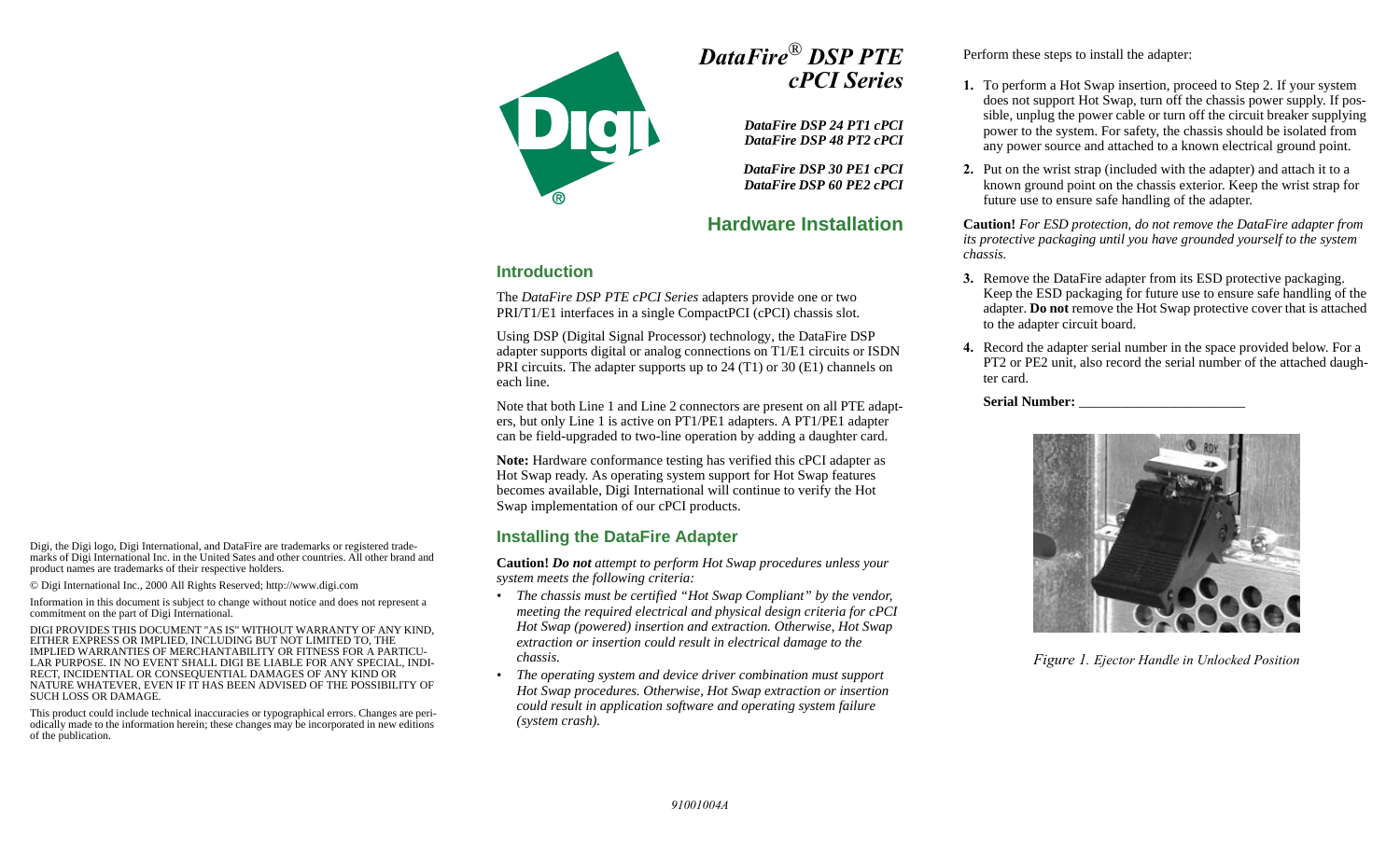

# *DataFire*® *DSP PTE cPCI Series*

*DataFire DSP 24 PT1 cPCI DataFire DSP 48 PT2 cPCI*

*DataFire DSP 30 PE1 cPCI DataFire DSP 60 PE2 cPCI*

# **Hardware Installation**

### **Introduction**

The *DataFire DSP PTE cPCI Series* adapters provide one or two PRI/T1/E1 interfaces in a single CompactPCI (cPCI) chassis slot.

Using DSP (Digital Signal Processor) technology, the DataFire DSP adapter supports digital or analog connections on T1/E1 circuits or ISDN PRI circuits. The adapter supports up to 24 (T1) or 30 (E1) channels on each line.

Note that both Line 1 and Line 2 connectors are present on all PTE adapters, but only Line 1 is active on PT1/PE1 adapters. A PT1/PE1 adapter can be field-upgraded to two-line operation by adding a daughter card.

**Note:** Hardware conformance testing has verified this cPCI adapter as Hot Swap ready. As operating system support for Hot Swap features becomes available, Digi International will continue to verify the Hot Swap implementation of our cPCI products.

### **Installing the DataFire Adapter**

**Caution!** *Do not attempt to perform Hot Swap procedures unless your system meets the following criteria:*

- *• The chassis must be certified "Hot Swap Compliant" by the vendor, meeting the required electrical and physical design criteria for cPCI Hot Swap (powered) insertion and extraction. Otherwise, Hot Swap extraction or insertion could result in electrical damage to the chassis.*
- *• The operating system and device driver combination must support Hot Swap procedures. Otherwise, Hot Swap extraction or insertion could result in application software and operating system failure (system crash).*

Perform these steps to install the adapter:

- **1.** To perform a Hot Swap insertion, proceed to Step 2. If your system does not support Hot Swap, turn off the chassis power supply. If possible, unplug the power cable or turn off the circuit breaker supplying power to the system. For safety, the chassis should be isolated from any power source and attached to a known electrical ground point.
- **2.** Put on the wrist strap (included with the adapter) and attach it to a known ground point on the chassis exterior. Keep the wrist strap for future use to ensure safe handling of the adapter.

**Caution!** *For ESD protection, do not remove the DataFire adapter from its protective packaging until you have grounded yourself to the system chassis.*

- **3.** Remove the DataFire adapter from its ESD protective packaging. Keep the ESD packaging for future use to ensure safe handling of the adapter. **Do not** remove the Hot Swap protective cover that is attached to the adapter circuit board.
- **4.** Record the adapter serial number in the space provided below. For a PT2 or PE2 unit, also record the serial number of the attached daughter card.

#### **Serial Number:** \_\_\_\_\_\_\_\_\_\_\_\_\_\_\_\_\_\_\_\_\_\_\_\_



*Figure 1. Ejector Handle in Unlocked Position*

Digi, the Digi logo, Digi International, and DataFire are trademarks or registered trademarks of Digi International Inc. in the United Sates and other countries. All other brand and product names are trademarks of their respective holders.

© Digi International Inc., 2000 All Rights Reserved; http://www.digi.com

Information in this document is subject to change without notice and does not represent a commitment on the part of Digi International.

DIGI PROVIDES THIS DOCUMENT "AS IS" WITHOUT WARRANTY OF ANY KIND, EITHER EXPRESS OR IMPLIED, INCLUDING BUT NOT LIMITED TO, THE IMPLIED WARRANTIES OF MERCHANTABILITY OR FITNESS FOR A PARTICU-LAR PURPOSE. IN NO EVENT SHALL DIGI BE LIABLE FOR ANY SPECIAL, INDI-RECT, INCIDENTIAL OR CONSEQUENTIAL DAMAGES OF ANY KIND OR NATURE WHATEVER, EVEN IF IT HAS BEEN ADVISED OF THE POSSIBILITY OF SUCH LOSS OR DAMAGE.

This product could include technical inaccuracies or typographical errors. Changes are periodically made to the information herein; these changes may be incorporated in new editions of the publication.